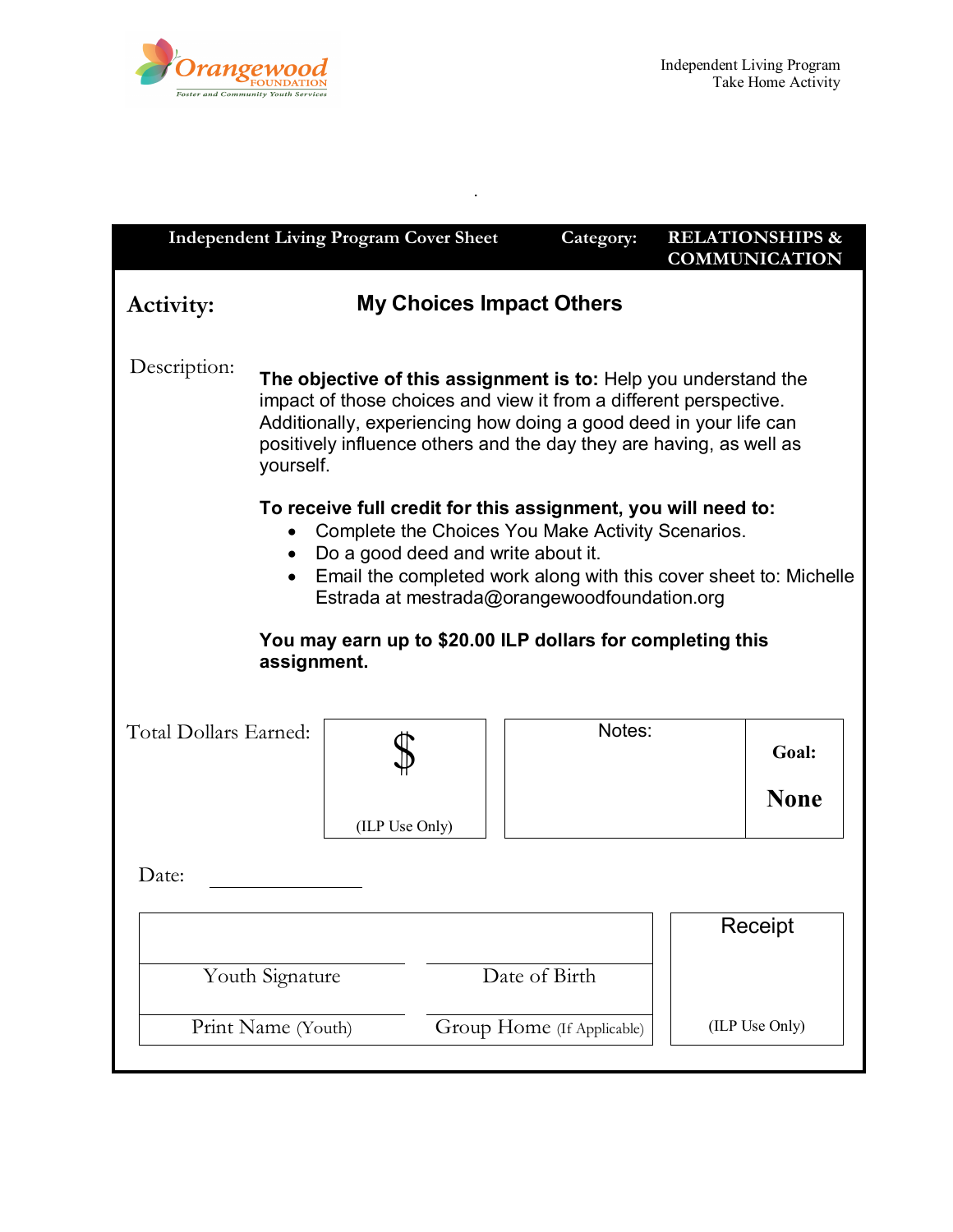

| <b>Independent Living Program Cover Sheet</b>                                                                                                                                                                                                                                                                                                            |                                                                                                                                                                                                                                                                                               |                                 | Category:      | <b>RELATIONSHIPS &amp;</b><br><b>COMMUNICATION</b> |  |
|----------------------------------------------------------------------------------------------------------------------------------------------------------------------------------------------------------------------------------------------------------------------------------------------------------------------------------------------------------|-----------------------------------------------------------------------------------------------------------------------------------------------------------------------------------------------------------------------------------------------------------------------------------------------|---------------------------------|----------------|----------------------------------------------------|--|
| <b>Activity:</b>                                                                                                                                                                                                                                                                                                                                         |                                                                                                                                                                                                                                                                                               | <b>My Choices Impact Others</b> |                |                                                    |  |
| Description:                                                                                                                                                                                                                                                                                                                                             | The objective of this assignment is to: Help you understand the<br>impact of those choices and view it from a different perspective.<br>Additionally, experiencing how doing a good deed in your life can<br>positively influence others and the day they are having, as well as<br>yourself. |                                 |                |                                                    |  |
| To receive full credit for this assignment, you will need to:<br>Complete the Choices You Make Activity Scenarios.<br>Do a good deed and write about it.<br>$\bullet$<br>Email the completed work along with this cover sheet to: Michelle<br>Estrada at mestrada@orangewoodfoundation.org<br>You may earn up to \$20.00 ILP dollars for completing this |                                                                                                                                                                                                                                                                                               |                                 |                |                                                    |  |
|                                                                                                                                                                                                                                                                                                                                                          | assignment.                                                                                                                                                                                                                                                                                   |                                 |                |                                                    |  |
| Total Dollars Earned:                                                                                                                                                                                                                                                                                                                                    |                                                                                                                                                                                                                                                                                               |                                 | Notes:         | Goal:<br><b>None</b>                               |  |
|                                                                                                                                                                                                                                                                                                                                                          |                                                                                                                                                                                                                                                                                               | (ILP Use Only)                  |                |                                                    |  |
| Date:                                                                                                                                                                                                                                                                                                                                                    |                                                                                                                                                                                                                                                                                               |                                 |                |                                                    |  |
|                                                                                                                                                                                                                                                                                                                                                          |                                                                                                                                                                                                                                                                                               |                                 |                | Receipt                                            |  |
| Date of Birth<br>Youth Signature                                                                                                                                                                                                                                                                                                                         |                                                                                                                                                                                                                                                                                               |                                 |                |                                                    |  |
| Print Name (Youth)<br>Group Home (If Applicable)                                                                                                                                                                                                                                                                                                         |                                                                                                                                                                                                                                                                                               |                                 | (ILP Use Only) |                                                    |  |

.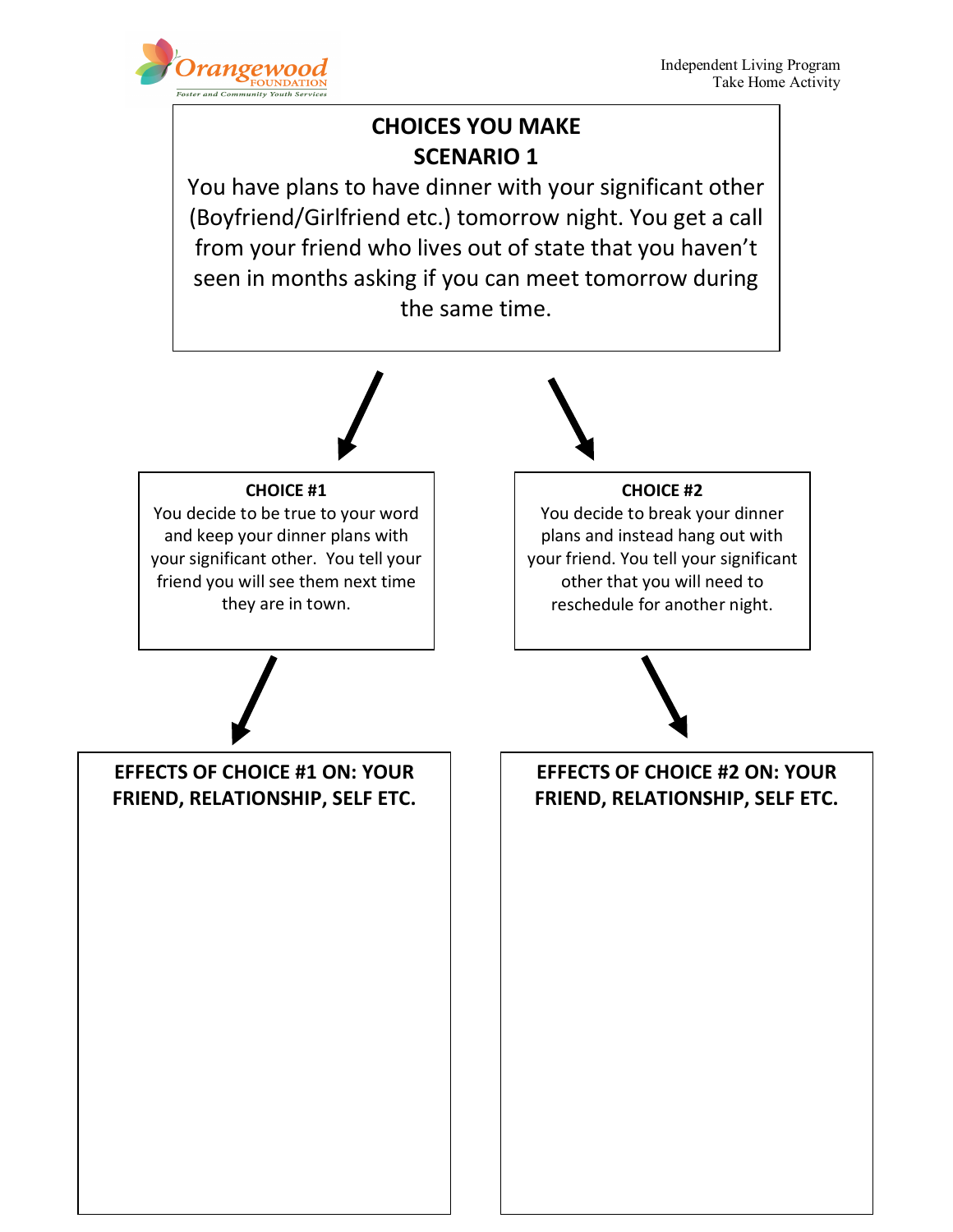

## **CHOICES YOU MAKE SCENARIO 1**

You have plans to have dinner with your significant other (Boyfriend/Girlfriend etc.) tomorrow night. You get a call from your friend who lives out of state that you haven't seen in months asking if you can meet tomorrow during the same time.

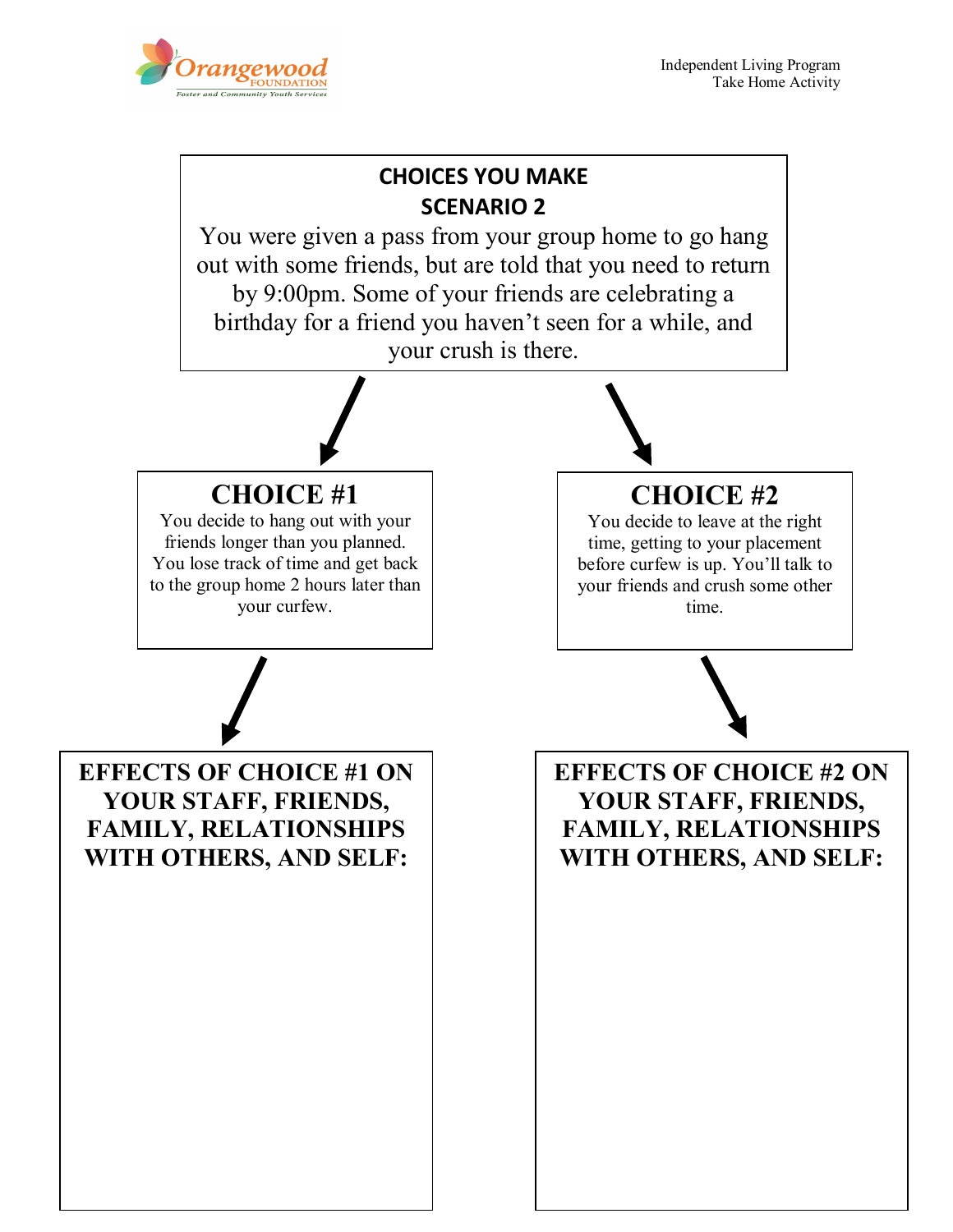